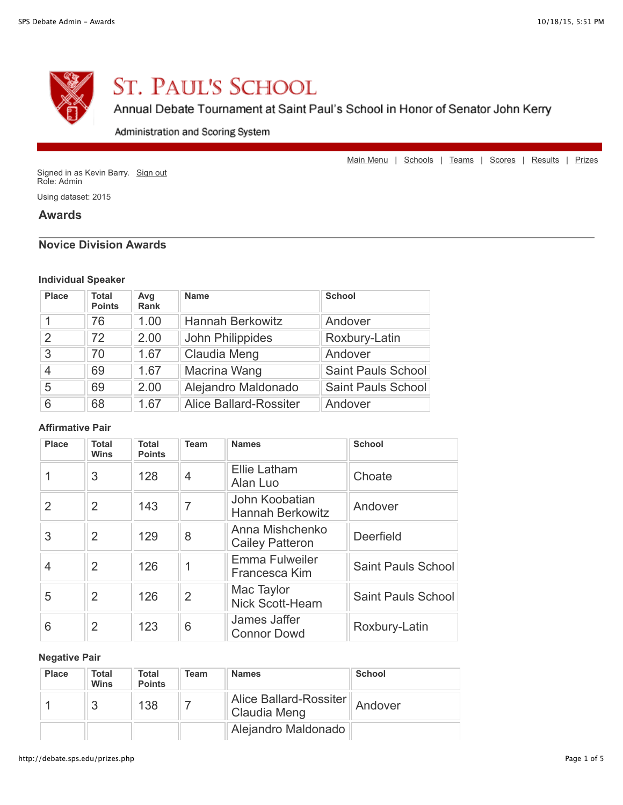

# **ST. PAUL'S SCHOOL**

# Annual Debate Tournament at Saint Paul's School in Honor of Senator John Kerry

Administration and Scoring System

[Main Menu](http://debate.sps.edu/index.php) | [Schools](http://debate.sps.edu/schools.php) | [Teams](http://debate.sps.edu/debaters.php) | [Scores](http://debate.sps.edu/scores.php) | [Results](http://debate.sps.edu/results.php) | [Prizes](http://debate.sps.edu/prizes.php)

Signed in as Kevin Barry. [Sign out](http://debate.sps.edu/signout.php) Role: Admin

Using dataset: 2015

#### **Awards**

#### **Novice Division Awards**

#### **Individual Speaker**

| <b>Place</b>  | <b>Total</b><br><b>Points</b> | Avg<br>Rank | <b>Name</b>             | <b>School</b>             |
|---------------|-------------------------------|-------------|-------------------------|---------------------------|
|               | 76                            | 1.00        | <b>Hannah Berkowitz</b> | Andover                   |
| $\mathcal{P}$ | 72                            | 2.00        | John Philippides        | Roxbury-Latin             |
| 3             | 70                            | 1.67        | Claudia Meng            | Andover                   |
| 4             | 69                            | 1.67        | Macrina Wang            | <b>Saint Pauls School</b> |
| 5             | 69                            | 2.00        | Alejandro Maldonado     | <b>Saint Pauls School</b> |
| 6             | 68                            | 1.67        | Alice Ballard-Rossiter  | Andover                   |

#### **Affirmative Pair**

| <b>Place</b> | <b>Total</b><br><b>Wins</b> | <b>Total</b><br><b>Points</b> | <b>Team</b>    | <b>Names</b>                              | <b>School</b>             |
|--------------|-----------------------------|-------------------------------|----------------|-------------------------------------------|---------------------------|
|              | 3                           | 128                           | 4              | <b>Ellie Latham</b><br>Alan Luo           | Choate                    |
| 2            | 2                           | 143                           | $\overline{7}$ | John Koobatian<br><b>Hannah Berkowitz</b> | Andover                   |
| 3            | $\overline{2}$              | 129                           | 8              | Anna Mishchenko<br><b>Cailey Patteron</b> | Deerfield                 |
| 4            | $\overline{2}$              | 126                           | 1              | <b>Emma Fulweiler</b><br>Francesca Kim    | <b>Saint Pauls School</b> |
| 5            | $\overline{2}$              | 126                           | $\overline{2}$ | Mac Taylor<br><b>Nick Scott-Hearn</b>     | Saint Pauls School        |
| 6            | $\overline{2}$              | 123                           | 6              | James Jaffer<br><b>Connor Dowd</b>        | Roxbury-Latin             |

#### **Negative Pair**

| <b>Place</b> | Total<br><b>Wins</b> | Total<br><b>Points</b> | Team | <b>Names</b>           | <b>School</b> |
|--------------|----------------------|------------------------|------|------------------------|---------------|
|              |                      | 138                    |      | Alice Ballard-Rossiter | Andover       |
|              |                      |                        |      | Alejandro Maldonado    |               |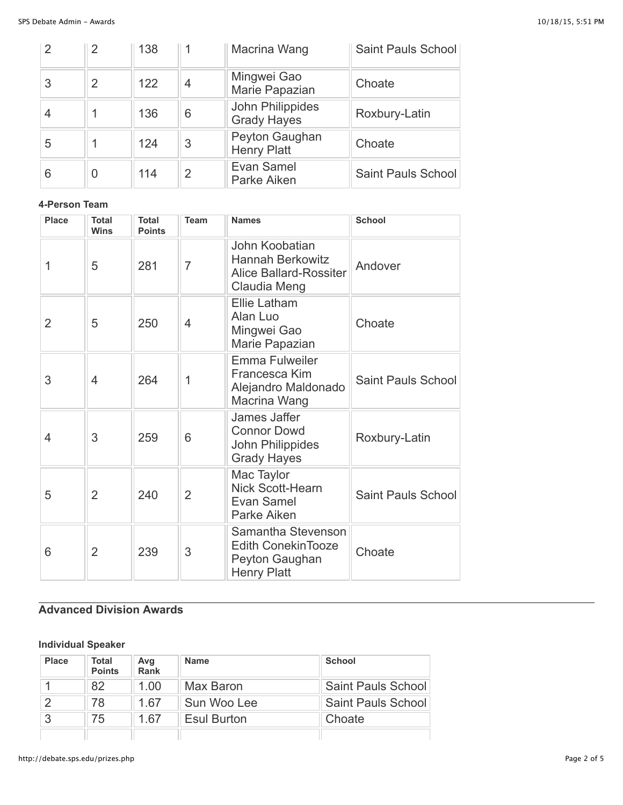| $\mathcal{P}$ | $\overline{2}$   | 138 |   | Macrina Wang                           | <b>Saint Pauls School</b> |
|---------------|------------------|-----|---|----------------------------------------|---------------------------|
| 3             | $\mathcal{P}$    | 122 | 4 | Mingwei Gao<br>Marie Papazian          | Choate                    |
|               |                  | 136 | 6 | John Philippides<br><b>Grady Hayes</b> | Roxbury-Latin             |
| 5             |                  | 124 | 3 | Peyton Gaughan<br><b>Henry Platt</b>   | Choate                    |
| 6             | $\left( \right)$ | 114 | 2 | Evan Samel<br>Parke Aiken              | <b>Saint Pauls School</b> |

#### **4-Person Team**

| Place          | <b>Total</b><br><b>Wins</b> | <b>Total</b><br><b>Points</b> | <b>Team</b>    | <b>Names</b>                                                                                          | <b>School</b>             |
|----------------|-----------------------------|-------------------------------|----------------|-------------------------------------------------------------------------------------------------------|---------------------------|
| 1              | 5                           | 281                           | $\overline{7}$ | John Koobatian<br><b>Hannah Berkowitz</b><br>Andover<br><b>Alice Ballard-Rossiter</b><br>Claudia Meng |                           |
| $\overline{2}$ | 5                           | 250                           | 4              | Ellie Latham<br>Alan Luo<br>Mingwei Gao<br>Marie Papazian                                             | Choate                    |
| 3              | 4                           | 264                           | 1              | <b>Emma Fulweiler</b><br>Francesca Kim<br>Alejandro Maldonado<br>Macrina Wang                         | <b>Saint Pauls School</b> |
| 4              | 3                           | 259                           | 6              | James Jaffer<br><b>Connor Dowd</b><br>John Philippides<br><b>Grady Hayes</b>                          | Roxbury-Latin             |
| 5              | $\overline{2}$              | 240                           | $\overline{2}$ | Mac Taylor<br>Nick Scott-Hearn<br>Evan Samel<br>Parke Aiken                                           | <b>Saint Pauls School</b> |
| 6              | $\overline{2}$              | 239                           | 3              | Samantha Stevenson<br><b>Edith ConekinTooze</b><br>Peyton Gaughan<br><b>Henry Platt</b>               | Choate                    |

## **Advanced Division Awards**

### **Individual Speaker**

| <b>Place</b> | <b>Total</b><br><b>Points</b> | Avg<br>Rank | <b>Name</b>        | <b>School</b>             |
|--------------|-------------------------------|-------------|--------------------|---------------------------|
|              | 82                            | 1.00        | Max Baron          | <b>Saint Pauls School</b> |
| ာ            | 78                            | 167         | Sun Woo Lee        | <b>Saint Pauls School</b> |
| 3            | 75                            | 1 67        | <b>Esul Burton</b> | Choate                    |
|              |                               |             |                    |                           |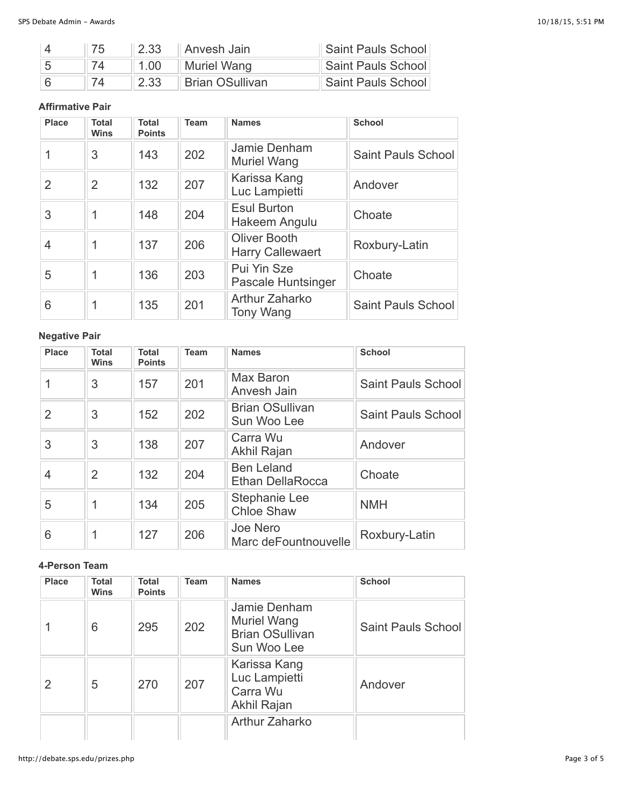| 75. | $\vert$ 2.33 | ∥ Anvesh Jain∶         | Saint Pauls School |
|-----|--------------|------------------------|--------------------|
|     | 1.00         | Muriel Wang            | Saint Pauls School |
|     | 2.33         | <b>Brian OSullivan</b> | Saint Pauls School |

#### **Affirmative Pair**

| <b>Place</b>   | Total<br><b>Wins</b> | <b>Total</b><br><b>Points</b> | <b>Team</b> | <b>Names</b>                                                    | <b>School</b>             |
|----------------|----------------------|-------------------------------|-------------|-----------------------------------------------------------------|---------------------------|
|                | 3                    | 143                           | 202         | Jamie Denham<br><b>Muriel Wang</b>                              | <b>Saint Pauls School</b> |
| $\overline{2}$ | $\overline{2}$       | 132                           | 207         | Karissa Kang<br>Luc Lampietti                                   | Andover                   |
| 3              |                      | 148                           | 204         | <b>Esul Burton</b><br>Hakeem Angulu                             | Choate                    |
| 4              |                      | 137                           | 206         | <b>Oliver Booth</b><br><b>Harry Callewaert</b>                  | Roxbury-Latin             |
| 5              |                      | 136                           | 203         | Pui Yin Sze<br><b>Pascale Huntsinger</b>                        | Choate                    |
| 6              |                      | 135                           | 201         | Arthur Zaharko<br><b>Saint Pauls School</b><br><b>Tony Wang</b> |                           |

## **Negative Pair**

| Place          | <b>Total</b><br><b>Wins</b> | Total<br><b>Points</b> | <b>Team</b> | <b>Names</b>                                 | <b>School</b>      |
|----------------|-----------------------------|------------------------|-------------|----------------------------------------------|--------------------|
|                | 3                           | 157                    | 201         | Max Baron<br>Anvesh Jain                     | Saint Pauls School |
| $\overline{2}$ | 3                           | 152                    | 202         | <b>Brian OSullivan</b><br>Sun Woo Lee        | Saint Pauls School |
| 3              | 3                           | 138                    | 207         | Carra Wu<br>Akhil Rajan                      | Andover            |
| 4              | $\mathcal{P}$               | 132                    | 204         | <b>Ben Leland</b><br><b>Ethan DellaRocca</b> | Choate             |
| 5              |                             | 134                    | 205         | Stephanie Lee<br><b>Chloe Shaw</b>           | <b>NMH</b>         |
| 6              |                             | 127                    | 206         | Joe Nero<br>Marc deFountnouvelle             | Roxbury-Latin      |

#### **4-Person Team**

| <b>Place</b> | Total<br><b>Wins</b> | Total<br><b>Points</b> | <b>Team</b> | <b>Names</b>                                                         | <b>School</b>             |
|--------------|----------------------|------------------------|-------------|----------------------------------------------------------------------|---------------------------|
|              | 6                    | 295                    | 202         | Jamie Denham<br>Muriel Wang<br><b>Brian OSullivan</b><br>Sun Woo Lee | <b>Saint Pauls School</b> |
| 2            | 5                    | 270                    | 207         | Karissa Kang<br>Luc Lampietti<br>Carra Wu<br>Akhil Rajan             | Andover                   |
|              |                      |                        |             | Arthur Zaharko                                                       |                           |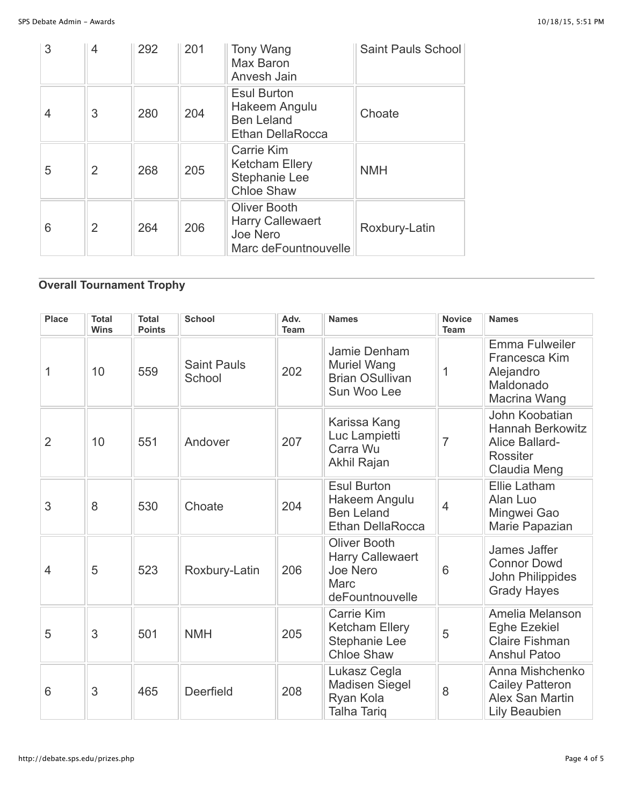| 3 | 4              | 292 | 201 | Tony Wang<br><b>Max Baron</b><br>Anvesh Jain                                       | Saint Pauls School |
|---|----------------|-----|-----|------------------------------------------------------------------------------------|--------------------|
| 4 | 3              | 280 | 204 | <b>Esul Burton</b><br>Hakeem Angulu<br><b>Ben Leland</b><br>Ethan DellaRocca       | Choate             |
| 5 | 2              | 268 | 205 | Carrie Kim<br><b>Ketcham Ellery</b><br>Stephanie Lee<br><b>Chloe Shaw</b>          | <b>NMH</b>         |
| 6 | $\overline{2}$ | 264 | 206 | <b>Oliver Booth</b><br><b>Harry Callewaert</b><br>Joe Nero<br>Marc deFountnouvelle | Roxbury-Latin      |

# **Overall Tournament Trophy**

| <b>Place</b>   | <b>Total</b><br><b>Wins</b> | <b>Total</b><br><b>Points</b> | <b>School</b>                | Adv.<br><b>Team</b> | <b>Names</b>                                                                                 | <b>Novice</b><br><b>Team</b> | <b>Names</b>                                                                                   |
|----------------|-----------------------------|-------------------------------|------------------------------|---------------------|----------------------------------------------------------------------------------------------|------------------------------|------------------------------------------------------------------------------------------------|
| 1              | 10                          | 559                           | <b>Saint Pauls</b><br>School | 202                 | Jamie Denham<br><b>Muriel Wang</b><br><b>Brian OSullivan</b><br>Sun Woo Lee                  | 1                            | Emma Fulweiler<br>Francesca Kim<br>Alejandro<br>Maldonado<br>Macrina Wang                      |
| $\overline{2}$ | 10                          | 551                           | Andover                      | 207                 | Karissa Kang<br>Luc Lampietti<br>Carra Wu<br>Akhil Rajan                                     | $\overline{7}$               | John Koobatian<br><b>Hannah Berkowitz</b><br>Alice Ballard-<br><b>Rossiter</b><br>Claudia Meng |
| 3              | 8                           | 530                           | Choate                       | 204                 | <b>Esul Burton</b><br>Hakeem Angulu<br><b>Ben Leland</b><br><b>Ethan DellaRocca</b>          | $\overline{4}$               | Ellie Latham<br>Alan Luo<br>Mingwei Gao<br>Marie Papazian                                      |
| $\overline{4}$ | 5                           | 523                           | Roxbury-Latin                | 206                 | <b>Oliver Booth</b><br><b>Harry Callewaert</b><br>Joe Nero<br><b>Marc</b><br>deFountnouvelle | 6                            | James Jaffer<br><b>Connor Dowd</b><br>John Philippides<br><b>Grady Hayes</b>                   |
| 5              | 3                           | 501                           | <b>NMH</b>                   | 205                 | <b>Carrie Kim</b><br><b>Ketcham Ellery</b><br>Stephanie Lee<br><b>Chloe Shaw</b>             | 5                            | Amelia Melanson<br><b>Eghe Ezekiel</b><br><b>Claire Fishman</b><br><b>Anshul Patoo</b>         |
| 6              | 3                           | 465                           | Deerfield                    | 208                 | Lukasz Cegla<br><b>Madisen Siegel</b><br>Ryan Kola<br><b>Talha Tariq</b>                     | 8                            | Anna Mishchenko<br><b>Cailey Patteron</b><br>Alex San Martin<br><b>Lily Beaubien</b>           |